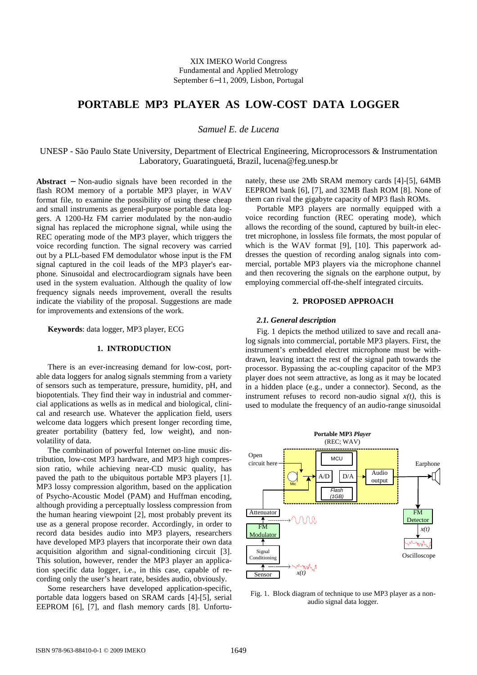# **PORTABLE MP3 PLAYER AS LOW-COST DATA LOGGER**

*Samuel E. de Lucena* 

UNESP - São Paulo State University, Department of Electrical Engineering, Microprocessors & Instrumentation Laboratory, Guaratinguetá, Brazil, lucena@feg.unesp.br

**Abstract** − Non-audio signals have been recorded in the flash ROM memory of a portable MP3 player, in WAV format file, to examine the possibility of using these cheap and small instruments as general-purpose portable data loggers. A 1200-Hz FM carrier modulated by the non-audio signal has replaced the microphone signal, while using the REC operating mode of the MP3 player, which triggers the voice recording function. The signal recovery was carried out by a PLL-based FM demodulator whose input is the FM signal captured in the coil leads of the MP3 player's earphone. Sinusoidal and electrocardiogram signals have been used in the system evaluation. Although the quality of low frequency signals needs improvement, overall the results indicate the viability of the proposal. Suggestions are made for improvements and extensions of the work.

**Keywords**: data logger, MP3 player, ECG

# **1. INTRODUCTION**

There is an ever-increasing demand for low-cost, portable data loggers for analog signals stemming from a variety of sensors such as temperature, pressure, humidity, pH, and biopotentials. They find their way in industrial and commercial applications as wells as in medical and biological, clinical and research use. Whatever the application field, users welcome data loggers which present longer recording time, greater portability (battery fed, low weight), and nonvolatility of data.

The combination of powerful Internet on-line music distribution, low-cost MP3 hardware, and MP3 high compression ratio, while achieving near-CD music quality, has paved the path to the ubiquitous portable MP3 players [1]. MP3 lossy compression algorithm, based on the application of Psycho-Acoustic Model (PAM) and Huffman encoding, although providing a perceptually lossless compression from the human hearing viewpoint [2], most probably prevent its use as a general propose recorder. Accordingly, in order to record data besides audio into MP3 players, researchers have developed MP3 players that incorporate their own data acquisition algorithm and signal-conditioning circuit [3]. This solution, however, render the MP3 player an application specific data logger, i.e., in this case, capable of recording only the user's heart rate, besides audio, obviously.

Some researchers have developed application-specific, portable data loggers based on SRAM cards [4]-[5], serial EEPROM [6], [7], and flash memory cards [8]. Unfortunately, these use 2Mb SRAM memory cards [4]-[5], 64MB EEPROM bank [6], [7], and 32MB flash ROM [8]. None of them can rival the gigabyte capacity of MP3 flash ROMs.

Portable MP3 players are normally equipped with a voice recording function (REC operating mode), which allows the recording of the sound, captured by built-in electret microphone, in lossless file formats, the most popular of which is the WAV format [9], [10]. This paperwork addresses the question of recording analog signals into commercial, portable MP3 players via the microphone channel and then recovering the signals on the earphone output, by employing commercial off-the-shelf integrated circuits.

### **2. PROPOSED APPROACH**

# *2.1. General description*

Fig. 1 depicts the method utilized to save and recall analog signals into commercial, portable MP3 players. First, the instrument's embedded electret microphone must be withdrawn, leaving intact the rest of the signal path towards the processor. Bypassing the ac-coupling capacitor of the MP3 player does not seem attractive, as long as it may be located in a hidden place (e.g., under a connector). Second, as the instrument refuses to record non-audio signal  $x(t)$ , this is used to modulate the frequency of an audio-range sinusoidal



Fig. 1. Block diagram of technique to use MP3 player as a nonaudio signal data logger.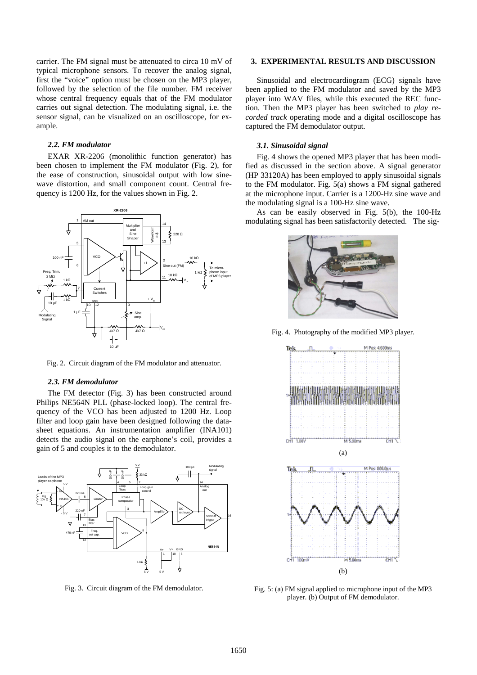carrier. The FM signal must be attenuated to circa 10 mV of typical microphone sensors. To recover the analog signal, first the "voice" option must be chosen on the MP3 player, followed by the selection of the file number. FM receiver whose central frequency equals that of the FM modulator carries out signal detection. The modulating signal, i.e. the sensor signal, can be visualized on an oscilloscope, for example.

#### *2.2. FM modulator*

 EXAR XR-2206 (monolithic function generator) has been chosen to implement the FM modulator (Fig. 2), for the ease of construction, sinusoidal output with low sinewave distortion, and small component count. Central frequency is 1200 Hz, for the values shown in Fig. 2.



Fig. 2. Circuit diagram of the FM modulator and attenuator.

#### *2.3. FM demodulator*

The FM detector (Fig. 3) has been constructed around Philips NE564N PLL (phase-locked loop). The central frequency of the VCO has been adjusted to 1200 Hz. Loop filter and loop gain have been designed following the datasheet equations. An instrumentation amplifier (INA101) detects the audio signal on the earphone's coil, provides a gain of 5 and couples it to the demodulator.



Fig. 3. Circuit diagram of the FM demodulator.

#### **3. EXPERIMENTAL RESULTS AND DISCUSSION**

Sinusoidal and electrocardiogram (ECG) signals have been applied to the FM modulator and saved by the MP3 player into WAV files, while this executed the REC function. Then the MP3 player has been switched to *play recorded track* operating mode and a digital oscilloscope has captured the FM demodulator output.

#### *3.1. Sinusoidal signal*

Fig. 4 shows the opened MP3 player that has been modified as discussed in the section above. A signal generator (HP 33120A) has been employed to apply sinusoidal signals to the FM modulator. Fig. 5(a) shows a FM signal gathered at the microphone input. Carrier is a 1200-Hz sine wave and the modulating signal is a 100-Hz sine wave.

As can be easily observed in Fig. 5(b), the 100-Hz modulating signal has been satisfactorily detected. The sig-



Fig. 4. Photography of the modified MP3 player.



Fig. 5: (a) FM signal applied to microphone input of the MP3 player. (b) Output of FM demodulator.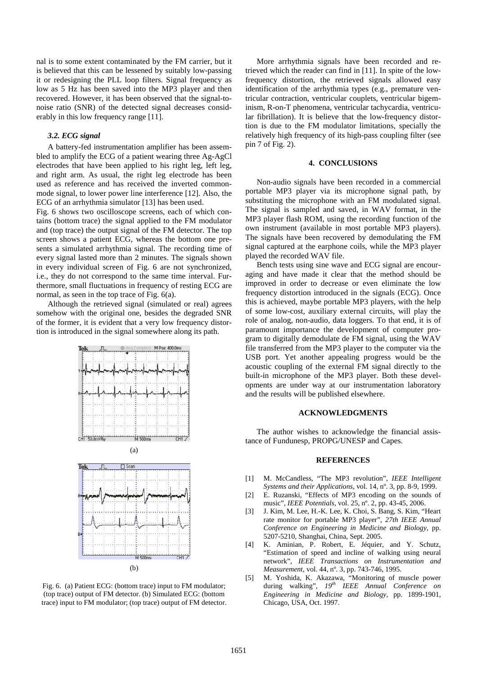nal is to some extent contaminated by the FM carrier, but it is believed that this can be lessened by suitably low-passing it or redesigning the PLL loop filters. Signal frequency as low as 5 Hz has been saved into the MP3 player and then recovered. However, it has been observed that the signal-tonoise ratio (SNR) of the detected signal decreases considerably in this low frequency range [11].

#### *3.2. ECG signal*

A battery-fed instrumentation amplifier has been assembled to amplify the ECG of a patient wearing three Ag-AgCl electrodes that have been applied to his right leg, left leg, and right arm. As usual, the right leg electrode has been used as reference and has received the inverted commonmode signal, to lower power line interference [12]. Also, the ECG of an arrhythmia simulator [13] has been used.

Fig. 6 shows two oscilloscope screens, each of which contains (bottom trace) the signal applied to the FM modulator and (top trace) the output signal of the FM detector. The top screen shows a patient ECG, whereas the bottom one presents a simulated arrhythmia signal. The recording time of every signal lasted more than 2 minutes. The signals shown in every individual screen of Fig. 6 are not synchronized, i.e., they do not correspond to the same time interval. Furthermore, small fluctuations in frequency of resting ECG are normal, as seen in the top trace of Fig. 6(a).

Although the retrieved signal (simulated or real) agrees somehow with the original one, besides the degraded SNR of the former, it is evident that a very low frequency distortion is introduced in the signal somewhere along its path.



Fig. 6. (a) Patient ECG: (bottom trace) input to FM modulator; (top trace) output of FM detector. (b) Simulated ECG: (bottom trace) input to FM modulator; (top trace) output of FM detector.

More arrhythmia signals have been recorded and retrieved which the reader can find in [11]. In spite of the lowfrequency distortion, the retrieved signals allowed easy identification of the arrhythmia types (e.g., premature ventricular contraction, ventricular couplets, ventricular bigeminism, R-on-T phenomena, ventricular tachycardia, ventricular fibrillation). It is believe that the low-frequency distortion is due to the FM modulator limitations, specially the relatively high frequency of its high-pass coupling filter (see pin 7 of Fig. 2).

# **4. CONCLUSIONS**

Non-audio signals have been recorded in a commercial portable MP3 player via its microphone signal path, by substituting the microphone with an FM modulated signal. The signal is sampled and saved, in WAV format, in the MP3 player flash ROM, using the recording function of the own instrument (available in most portable MP3 players). The signals have been recovered by demodulating the FM signal captured at the earphone coils, while the MP3 player played the recorded WAV file.

Bench tests using sine wave and ECG signal are encouraging and have made it clear that the method should be improved in order to decrease or even eliminate the low frequency distortion introduced in the signals (ECG). Once this is achieved, maybe portable MP3 players, with the help of some low-cost, auxiliary external circuits, will play the role of analog, non-audio, data loggers. To that end, it is of paramount importance the development of computer program to digitally demodulate de FM signal, using the WAV file transferred from the MP3 player to the computer via the USB port. Yet another appealing progress would be the acoustic coupling of the external FM signal directly to the built-in microphone of the MP3 player. Both these developments are under way at our instrumentation laboratory and the results will be published elsewhere.

#### **ACKNOWLEDGMENTS**

The author wishes to acknowledge the financial assistance of Fundunesp, PROPG/UNESP and Capes.

### **REFERENCES**

- [1] M. McCandless, "The MP3 revolution", *IEEE Intelligent Systems and their Applications,* vol. 14, nº. 3, pp. 8-9, 1999.
- [2] E. Ruzanski, "Effects of MP3 encoding on the sounds of music", *IEEE Potentials,* vol. 25, nº. 2, pp. 43-45, 2006.
- [3] J. Kim, M. Lee, H.-K. Lee, K. Choi, S. Bang, S. Kim, "Heart rate monitor for portable MP3 player", *27th IEEE Annual Conference on Engineering in Medicine and Biology*, pp. 5207-5210, Shanghai, China, Sept. 2005.
- [4] K. Aminian, P. Robert, E. Jéquier, and Y. Schutz, "Estimation of speed and incline of walking using neural network", *IEEE Transactions on Instrumentation and Measurement,* vol. 44, nº. 3, pp. 743-746, 1995.
- [5] M. Yoshida, K. Akazawa, "Monitoring of muscle power during walking", *19th IEEE Annual Conference on Engineering in Medicine and Biology*, pp. 1899-1901, Chicago, USA, Oct. 1997.